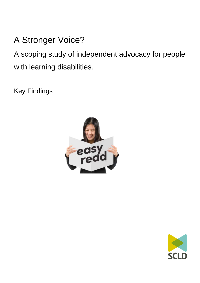# A Stronger Voice?

A scoping study of independent advocacy for people with learning disabilities.

Key Findings



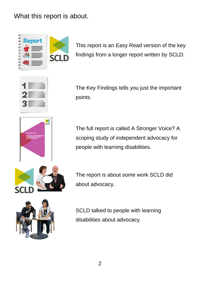# What this report is about.



This report is an Easy Read version of the key findings from a longer report written by SCLD.



The Key Findings tells you just the important points.



The full report is called A Stronger Voice? A scoping study of independent advocacy for people with learning disabilities.



The report is about some work SCLD did about advocacy.



SCLD talked to people with learning disabilities about advocacy.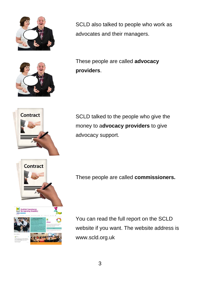

SCLD also talked to people who work as advocates and their managers.

These people are called **advocacy providers**.



SCLD talked to the people who give the money to a**dvocacy providers** to give advocacy support.

These people are called **commissioners.**

You can read the full report on the SCLD website if you want. The website address is www.scld.org.uk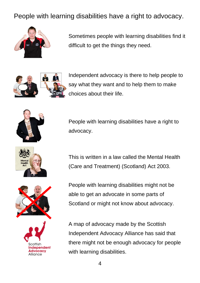# People with learning disabilities have a right to advocacy.



Sometimes people with learning disabilities find it difficult to get the things they need.



Independent advocacy is there to help people to say what they want and to help them to make choices about their life.







People with learning disabilities have a right to advocacy.

This is written in a law called the Mental Health (Care and Treatment) (Scotland) Act 2003.

People with learning disabilities might not be able to get an advocate in some parts of Scotland or might not know about advocacy.

A map of advocacy made by the Scottish Independent Advocacy Alliance has said that there might not be enough advocacy for people with learning disabilities.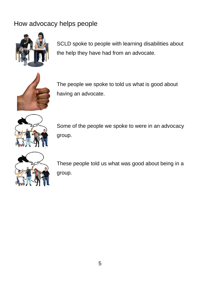# How advocacy helps people



SCLD spoke to people with learning disabilities about the help they have had from an advocate.



The people we spoke to told us what is good about having an advocate.



Some of the people we spoke to were in an advocacy group.



These people told us what was good about being in a group.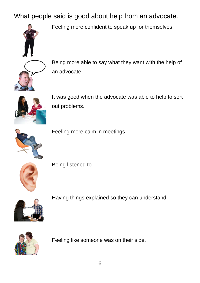What people said is good about help from an advocate.



Feeling more confident to speak up for themselves.



Being more able to say what they want with the help of an advocate.



It was good when the advocate was able to help to sort out problems.



Feeling more calm in meetings.



Being listened to.



Having things explained so they can understand.



Feeling like someone was on their side.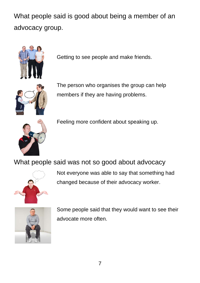What people said is good about being a member of an advocacy group.



Getting to see people and make friends.



The person who organises the group can help members if they are having problems.



Feeling more confident about speaking up.

What people said was not so good about advocacy



Not everyone was able to say that something had changed because of their advocacy worker.



Some people said that they would want to see their advocate more often.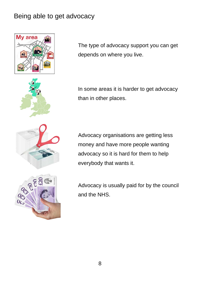## Being able to get advocacy







In some areas it is harder to get advocacy than in other places.

Advocacy organisations are getting less money and have more people wanting advocacy so it is hard for them to help everybody that wants it.

Advocacy is usually paid for by the council and the NHS.



Jc<sub>2</sub>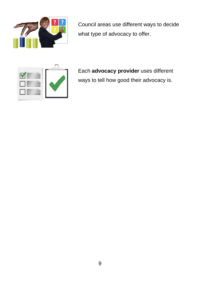

Council areas use different ways to decide what type of advocacy to offer.



Each **advocacy provider** uses different ways to tell how good their advocacy is.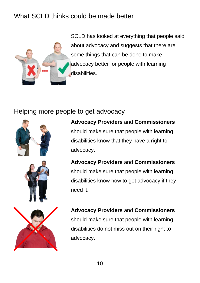# What SCLD thinks could be made better



SCLD has looked at everything that people said about advocacy and suggests that there are some things that can be done to make advocacy better for people with learning disabilities.

### Helping more people to get advocacy



**Advocacy Providers** and **Commissioners**  should make sure that people with learning disabilities know that they have a right to advocacy.

**Advocacy Providers** and **Commissioners**  should make sure that people with learning disabilities know how to get advocacy if they need it.

**Advocacy Providers** and **Commissioners**  should make sure that people with learning disabilities do not miss out on their right to advocacy.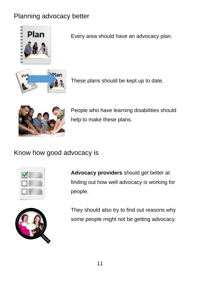# Planning advocacy better



Every area should have an advocacy plan.



These plans should be kept up to date.



People who have learning disabilities should help to make these plans.

# Know how good advocacy is

| $\sim$ |  |
|--------|--|
|        |  |
|        |  |
|        |  |
|        |  |

**Advocacy providers** should get better at finding out how well advocacy is working for people.



They should also try to find out reasons why some people might not be getting advocacy.